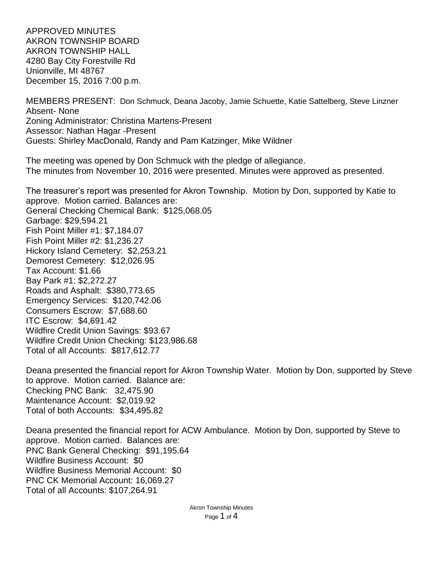APPROVED MINUTES AKRON TOWNSHIP BOARD AKRON TOWNSHIP HALL 4280 Bay City Forestville Rd Unionville, MI 48767 December 15, 2016 7:00 p.m.

MEMBERS PRESENT: Don Schmuck, Deana Jacoby, Jamie Schuette, Katie Sattelberg, Steve Linzner Absent- None Zoning Administrator: Christina Martens-Present Assessor: Nathan Hagar -Present Guests: Shirley MacDonald, Randy and Pam Katzinger, Mike Wildner

The meeting was opened by Don Schmuck with the pledge of allegiance. The minutes from November 10, 2016 were presented. Minutes were approved as presented.

The treasurer's report was presented for Akron Township. Motion by Don, supported by Katie to approve. Motion carried. Balances are: General Checking Chemical Bank: \$125,068.05 Garbage: \$29,594.21 Fish Point Miller #1: \$7,184.07 Fish Point Miller #2: \$1,236.27 Hickory Island Cemetery: \$2,253.21 Demorest Cemetery: \$12,026.95 Tax Account: \$1.66 Bay Park #1: \$2,272.27 Roads and Asphalt: \$380,773.65 Emergency Services: \$120,742.06 Consumers Escrow: \$7,688.60 ITC Escrow: \$4,691.42 Wildfire Credit Union Savings: \$93.67 Wildfire Credit Union Checking: \$123,986.68 Total of all Accounts: \$817,612.77

Deana presented the financial report for Akron Township Water. Motion by Don, supported by Steve to approve. Motion carried. Balance are: Checking PNC Bank: 32,475.90 Maintenance Account: \$2,019.92 Total of both Accounts: \$34,495.82

Deana presented the financial report for ACW Ambulance. Motion by Don, supported by Steve to approve. Motion carried. Balances are: PNC Bank General Checking: \$91,195.64 Wildfire Business Account: \$0 Wildfire Business Memorial Account: \$0 PNC CK Memorial Account: 16,069.27 Total of all Accounts: \$107,264.91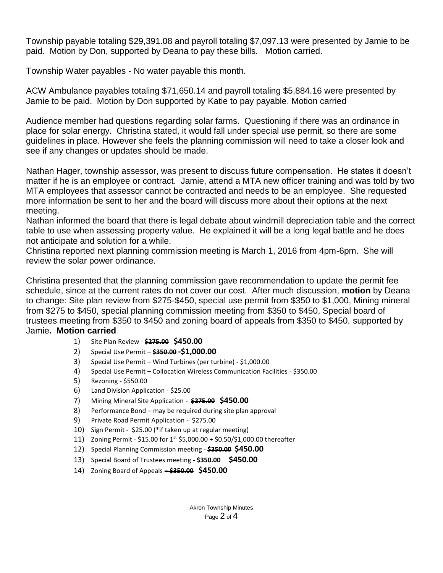Township payable totaling \$29,391.08 and payroll totaling \$7,097.13 were presented by Jamie to be paid. Motion by Don, supported by Deana to pay these bills. Motion carried.

Township Water payables - No water payable this month.

ACW Ambulance payables totaling \$71,650.14 and payroll totaling \$5,884.16 were presented by Jamie to be paid. Motion by Don supported by Katie to pay payable. Motion carried

Audience member had questions regarding solar farms. Questioning if there was an ordinance in place for solar energy. Christina stated, it would fall under special use permit, so there are some guidelines in place. However she feels the planning commission will need to take a closer look and see if any changes or updates should be made.

Nathan Hager, township assessor, was present to discuss future compensation. He states it doesn't matter if he is an employee or contract. Jamie, attend a MTA new officer training and was told by two MTA employees that assessor cannot be contracted and needs to be an employee. She requested more information be sent to her and the board will discuss more about their options at the next meeting.

Nathan informed the board that there is legal debate about windmill depreciation table and the correct table to use when assessing property value. He explained it will be a long legal battle and he does not anticipate and solution for a while.

Christina reported next planning commission meeting is March 1, 2016 from 4pm-6pm. She will review the solar power ordinance.

Christina presented that the planning commission gave recommendation to update the permit fee schedule, since at the current rates do not cover our cost. After much discussion, **motion** by Deana to change: Site plan review from \$275-\$450, special use permit from \$350 to \$1,000, Mining mineral from \$275 to \$450, special planning commission meeting from \$350 to \$450, Special board of trustees meeting from \$350 to \$450 and zoning board of appeals from \$350 to \$450. supported by Jamie**. Motion carried**

- 1) Site Plan Review **\$275.00 \$450.00**
- 2) Special Use Permit **\$350.00 -\$1,000.00**
- 3) Special Use Permit Wind Turbines (per turbine) \$1,000.00
- 4) Special Use Permit Collocation Wireless Communication Facilities \$350.00
- 5) Rezoning \$550.00
- 6) Land Division Application \$25.00
- 7) Mining Mineral Site Application **\$275.00 \$450.00**
- 8) Performance Bond may be required during site plan approval
- 9) Private Road Permit Application \$275.00
- 10) Sign Permit \$25.00 (\*if taken up at regular meeting)
- 11) Zoning Permit \$15.00 for 1st \$5,000.00 + \$0.50/\$1,000.00 thereafter
- 12) Special Planning Commission meeting **\$350.00 \$450.00**
- 13) Special Board of Trustees meeting **\$350.00 \$450.00**
- 14) Zoning Board of Appeals **– \$350.00 \$450.00**

Akron Township Minutes Page 2 of 4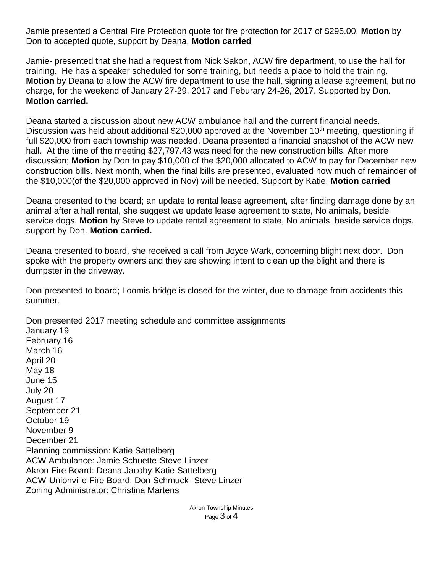Jamie presented a Central Fire Protection quote for fire protection for 2017 of \$295.00. **Motion** by Don to accepted quote, support by Deana. **Motion carried**

Jamie- presented that she had a request from Nick Sakon, ACW fire department, to use the hall for training. He has a speaker scheduled for some training, but needs a place to hold the training. **Motion** by Deana to allow the ACW fire department to use the hall, signing a lease agreement, but no charge, for the weekend of January 27-29, 2017 and Feburary 24-26, 2017. Supported by Don. **Motion carried.**

Deana started a discussion about new ACW ambulance hall and the current financial needs. Discussion was held about additional \$20,000 approved at the November 10<sup>th</sup> meeting, questioning if full \$20,000 from each township was needed. Deana presented a financial snapshot of the ACW new hall. At the time of the meeting \$27,797.43 was need for the new construction bills. After more discussion; **Motion** by Don to pay \$10,000 of the \$20,000 allocated to ACW to pay for December new construction bills. Next month, when the final bills are presented, evaluated how much of remainder of the \$10,000(of the \$20,000 approved in Nov) will be needed. Support by Katie, **Motion carried**

Deana presented to the board; an update to rental lease agreement, after finding damage done by an animal after a hall rental, she suggest we update lease agreement to state, No animals, beside service dogs. **Motion** by Steve to update rental agreement to state, No animals, beside service dogs. support by Don. **Motion carried.**

Deana presented to board, she received a call from Joyce Wark, concerning blight next door. Don spoke with the property owners and they are showing intent to clean up the blight and there is dumpster in the driveway.

Don presented to board; Loomis bridge is closed for the winter, due to damage from accidents this summer.

Don presented 2017 meeting schedule and committee assignments January 19 February 16 March 16 April 20 May 18 June 15 July 20 August 17 September 21 October 19 November 9 December 21 Planning commission: Katie Sattelberg ACW Ambulance: Jamie Schuette-Steve Linzer Akron Fire Board: Deana Jacoby-Katie Sattelberg ACW-Unionville Fire Board: Don Schmuck -Steve Linzer Zoning Administrator: Christina Martens

> Akron Township Minutes Page 3 of 4